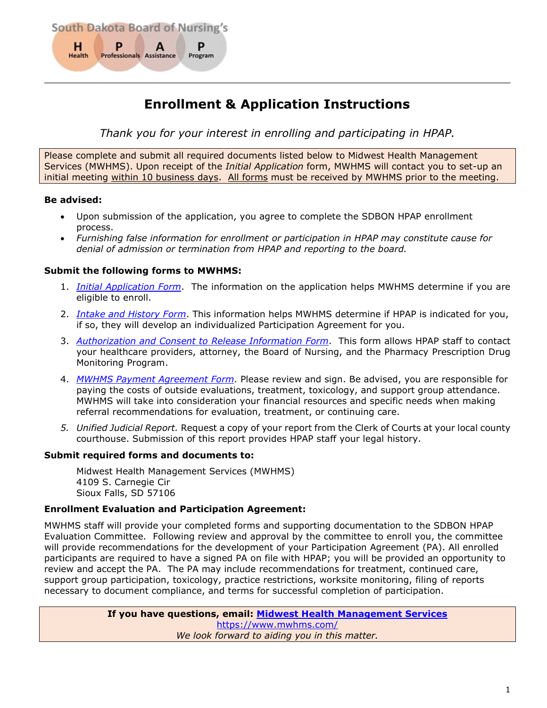

# **Enrollment & Application Instructions**

*Thank you for your interest in enrolling and participating in HPAP.*

Please complete and submit all required documents listed below to Midwest Health Management Services (MWHMS). Upon receipt of the *Initial Application* form, MWHMS will contact you to set-up an initial meeting within 10 business days. All forms must be received by MWHMS prior to the meeting.

# **Be advised:**

- Upon submission of the application, you agree to complete the SDBON HPAP enrollment process.
- *Furnishing false information for enrollment or participation in HPAP may constitute cause for denial of admission or termination from HPAP and reporting to the board.*

# **Submit the following forms to MWHMS:**

- 1. *[Initial Application Form](#page-1-0)*. The information on the application helps MWHMS determine if you are eligible to enroll.
- 2. *[Intake and History](#page-3-0) Form*. This information helps MWHMS determine if HPAP is indicated for you, if so, they will develop an individualized Participation Agreement for you.
- 3. *[Authorization and Consent to Release](#page-11-0) Information Form*. This form allows HPAP staff to contact your healthcare providers, attorney, the Board of Nursing, and the Pharmacy Prescription Drug Monitoring Program.
- 4. *[MWHMS Payment Agreement](#page-12-0) Form*. Please review and sign. Be advised, you are responsible for paying the costs of outside evaluations, treatment, toxicology, and support group attendance. MWHMS will take into consideration your financial resources and specific needs when making referral recommendations for evaluation, treatment, or continuing care.
- *5. Unified Judicial Report.* Request a copy of your report from the Clerk of Courts at your local county courthouse. Submission of this report provides HPAP staff your legal history.

# **Submit required forms and documents to:**

Midwest Health Management Services (MWHMS) 4109 S. Carnegie Cir Sioux Falls, SD 57106

# **Enrollment Evaluation and Participation Agreement:**

MWHMS staff will provide your completed forms and supporting documentation to the SDBON HPAP Evaluation Committee. Following review and approval by the committee to enroll you, the committee will provide recommendations for the development of your Participation Agreement (PA). All enrolled participants are required to have a signed PA on file with HPAP; you will be provided an opportunity to review and accept the PA. The PA may include recommendations for treatment, continued care, support group participation, toxicology, practice restrictions, worksite monitoring, filing of reports necessary to document compliance, and terms for successful completion of participation.

> **If you have questions, email: [Midwest Health Management](mailto:amandam@mwhms.com?subject=SDBON%20HPAP%20Enrollment%20Question) Services** <https://www.mwhms.com/> *We look forward to aiding you in this matter.*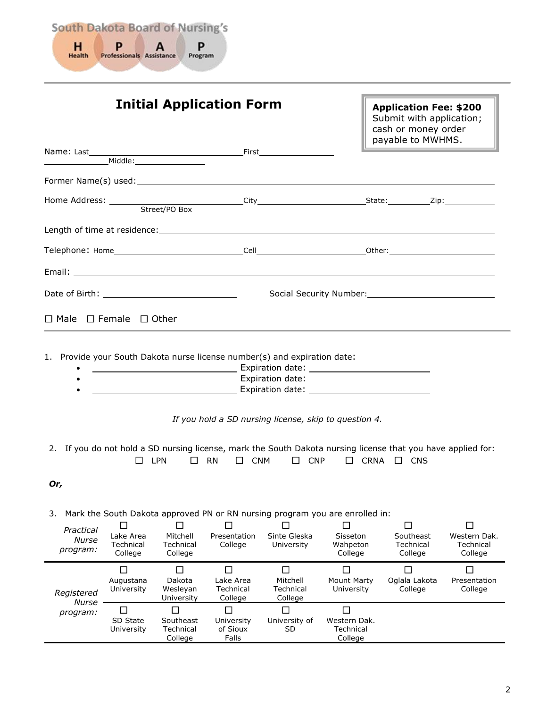

<span id="page-1-0"></span>

| Name: Last____                         |                                                   |                                            | <b>Initial Application Form</b>             |                                                                                                                                                                                                                                                                                                         |                                            | <b>Application Fee: \$200</b><br>Submit with application;<br>cash or money order<br>payable to MWHMS.                                  |                                      |
|----------------------------------------|---------------------------------------------------|--------------------------------------------|---------------------------------------------|---------------------------------------------------------------------------------------------------------------------------------------------------------------------------------------------------------------------------------------------------------------------------------------------------------|--------------------------------------------|----------------------------------------------------------------------------------------------------------------------------------------|--------------------------------------|
|                                        |                                                   |                                            |                                             |                                                                                                                                                                                                                                                                                                         |                                            |                                                                                                                                        |                                      |
|                                        |                                                   |                                            |                                             |                                                                                                                                                                                                                                                                                                         |                                            |                                                                                                                                        |                                      |
|                                        |                                                   |                                            |                                             |                                                                                                                                                                                                                                                                                                         |                                            |                                                                                                                                        |                                      |
|                                        |                                                   |                                            |                                             |                                                                                                                                                                                                                                                                                                         |                                            |                                                                                                                                        |                                      |
|                                        |                                                   |                                            |                                             |                                                                                                                                                                                                                                                                                                         |                                            |                                                                                                                                        |                                      |
|                                        |                                                   |                                            |                                             |                                                                                                                                                                                                                                                                                                         |                                            |                                                                                                                                        |                                      |
| Date of Birth: The Contract of Birth:  |                                                   |                                            |                                             |                                                                                                                                                                                                                                                                                                         |                                            |                                                                                                                                        |                                      |
| $\Box$ Male $\Box$ Female $\Box$ Other |                                                   |                                            |                                             |                                                                                                                                                                                                                                                                                                         |                                            |                                                                                                                                        |                                      |
| Or,                                    | $\Box$ LPN                                        |                                            | $\square$ CNM<br>$\Box$ RN                  | <b>Expiration date: Expiration date: CONSIDERITY OF A SET AND A SET AND A SET AND A SET AND A SET A SET AND A SET AND A SET AND A SET AND A SET AND A SET AND A SET AND A SET AND A SET AND A SET AND A SET AND A SET AND A </b><br>If you hold a SD nursing license, skip to question 4.<br>$\Box$ CNP |                                            | 2. If you do not hold a SD nursing license, mark the South Dakota nursing license that you have applied for:<br>$\Box$ CRNA $\Box$ CNS |                                      |
| 3.                                     |                                                   |                                            |                                             | Mark the South Dakota approved PN or RN nursing program you are enrolled in:                                                                                                                                                                                                                            |                                            |                                                                                                                                        |                                      |
| Practical<br>Nurse<br>program:         | $\mathbf{I}$<br>Lake Area<br>Technical<br>College | □<br>Mitchell<br>Technical<br>College      | Presentation<br>College                     | Sinte Gleska<br>University                                                                                                                                                                                                                                                                              | П<br>Sisseton<br>Wahpeton<br>College       | П<br>Southeast<br>Technical<br>College                                                                                                 | Western Dak.<br>Technical<br>College |
| Registered<br><b>Nurse</b>             | $\Box$<br>Augustana<br>University                 | $\Box$<br>Dakota<br>Wesleyan<br>University | $\Box$<br>Lake Area<br>Technical<br>College | $\Box$<br>Mitchell<br>Technical<br>College                                                                                                                                                                                                                                                              | $\Box$<br><b>Mount Marty</b><br>University | $\Box$<br>Oglala Lakota<br>College                                                                                                     | $\Box$<br>Presentation<br>College    |
| program:                               | $\Box$<br>SD State<br>University                  | П<br>Southeast<br>Technical<br>College     | П<br>University<br>of Sioux<br>Falls        | П<br>University of<br>SD.                                                                                                                                                                                                                                                                               | □<br>Western Dak.<br>Technical<br>College  |                                                                                                                                        |                                      |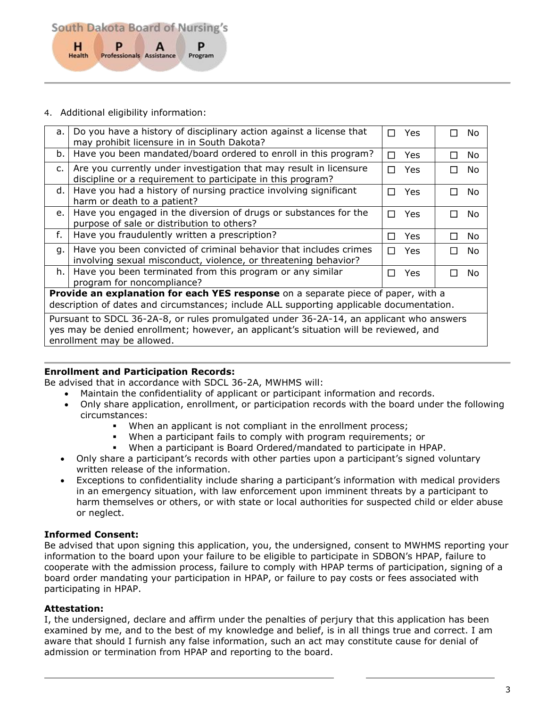South Dakota Board of Nursing's P H P Professionals Assistance Health Program

# 4. Additional eligibility information:

| a.                                                                                                                                                                            | Do you have a history of disciplinary action against a license that<br>may prohibit licensure in in South Dakota?                                                                | П      | Yes        | П | No. |
|-------------------------------------------------------------------------------------------------------------------------------------------------------------------------------|----------------------------------------------------------------------------------------------------------------------------------------------------------------------------------|--------|------------|---|-----|
| b.                                                                                                                                                                            | Have you been mandated/board ordered to enroll in this program?                                                                                                                  | $\Box$ | <b>Yes</b> | П | No  |
| c.                                                                                                                                                                            | Are you currently under investigation that may result in licensure<br>discipline or a requirement to participate in this program?                                                | П      | Yes        | П | No. |
| d.                                                                                                                                                                            | Have you had a history of nursing practice involving significant<br>harm or death to a patient?                                                                                  | П      | Yes        | П | No  |
| e.                                                                                                                                                                            | Have you engaged in the diversion of drugs or substances for the<br>purpose of sale or distribution to others?                                                                   | П      | Yes        | П | No  |
| f.                                                                                                                                                                            | Have you fraudulently written a prescription?                                                                                                                                    | П      | <b>Yes</b> | П | No  |
| q.                                                                                                                                                                            | Have you been convicted of criminal behavior that includes crimes<br>involving sexual misconduct, violence, or threatening behavior?                                             | П      | Yes        | П | No  |
| h.                                                                                                                                                                            | Have you been terminated from this program or any similar<br>program for noncompliance?                                                                                          | П      | Yes        | П | No. |
| Provide an explanation for each YES response on a separate piece of paper, with a<br>description of dates and circumstances; include ALL supporting applicable documentation. |                                                                                                                                                                                  |        |            |   |     |
|                                                                                                                                                                               | Pursuant to SDCL 36-2A-8, or rules promulgated under 36-2A-14, an applicant who answers<br>yes may be denied enrollment; however, an applicant's situation will be reviewed, and |        |            |   |     |

enrollment may be allowed.

# **Enrollment and Participation Records:**

Be advised that in accordance with SDCL 36-2A, MWHMS will:

- Maintain the confidentiality of applicant or participant information and records.
- Only share application, enrollment, or participation records with the board under the following circumstances:
	- When an applicant is not compliant in the enrollment process;
	- When a participant fails to comply with program requirements; or
	- When a participant is Board Ordered/mandated to participate in HPAP.
- Only share a participant's records with other parties upon a participant's signed voluntary written release of the information.
- Exceptions to confidentiality include sharing a participant's information with medical providers in an emergency situation, with law enforcement upon imminent threats by a participant to harm themselves or others, or with state or local authorities for suspected child or elder abuse or neglect.

# **Informed Consent:**

Be advised that upon signing this application, you, the undersigned, consent to MWHMS reporting your information to the board upon your failure to be eligible to participate in SDBON's HPAP, failure to cooperate with the admission process, failure to comply with HPAP terms of participation, signing of a board order mandating your participation in HPAP, or failure to pay costs or fees associated with participating in HPAP.

# **Attestation:**

I, the undersigned, declare and affirm under the penalties of perjury that this application has been examined by me, and to the best of my knowledge and belief, is in all things true and correct. I am aware that should I furnish any false information, such an act may constitute cause for denial of admission or termination from HPAP and reporting to the board.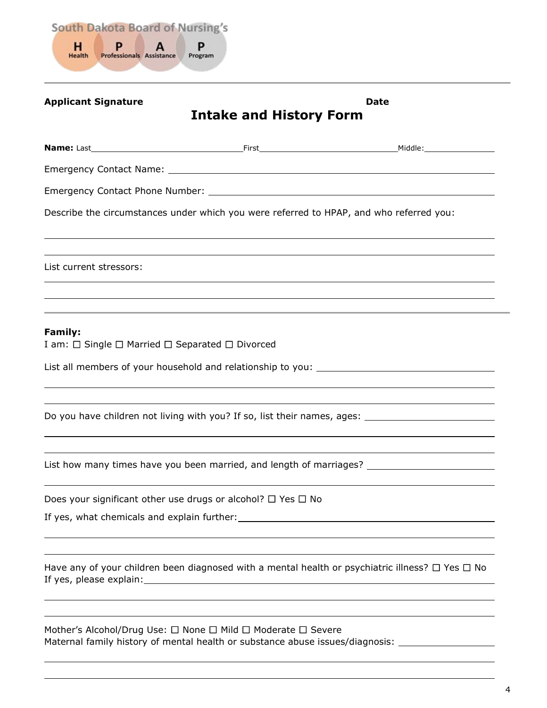

# <span id="page-3-0"></span>**Applicant Signature Date Intake and History Form Name:** Last **First Mame:** Last **First Middle:** Middle: **First Middle:** Middle: **Middle:** Middle: **First Middle:** Middle: **Middle:** Middle: **First Middle:** Middle: **Middle:** Middle: **Middle:** Middle: **Middle: Middle: Middl** Emergency Contact Name: Emergency Contact Phone Number: Describe the circumstances under which you were referred to HPAP, and who referred you: List current stressors: **Family:**  I am:  $\Box$  Single  $\Box$  Married  $\Box$  Separated  $\Box$  Divorced List all members of your household and relationship to you: \_\_\_\_\_\_\_\_\_\_\_\_\_\_\_\_\_\_\_\_\_ Do you have children not living with you? If so, list their names, ages: List how many times have you been married, and length of marriages? Does your significant other use drugs or alcohol?  $\Box$  Yes  $\Box$  No If yes, what chemicals and explain further: Have any of your children been diagnosed with a mental health or psychiatric illness?  $\Box$  Yes  $\Box$  No If yes, please explain: Mother's Alcohol/Drug Use:  $\Box$  None  $\Box$  Mild  $\Box$  Moderate  $\Box$  Severe

Maternal family history of mental health or substance abuse issues/diagnosis: \_\_\_\_\_\_\_\_\_\_\_\_\_\_\_\_\_\_\_\_\_\_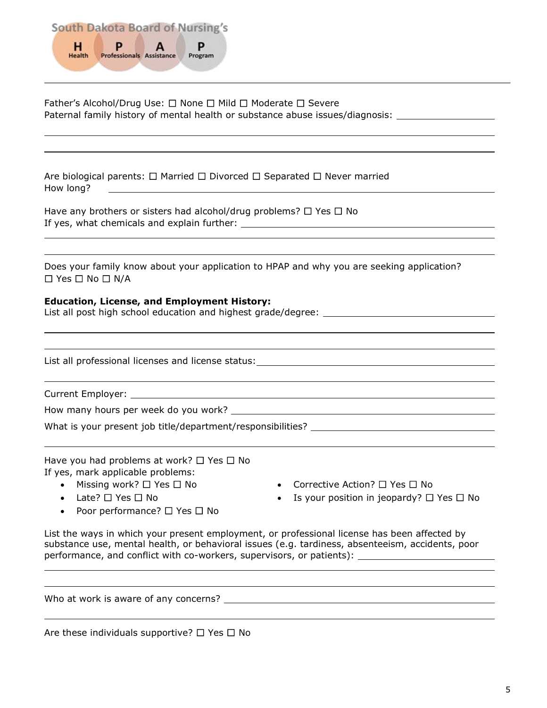

| Father's Alcohol/Drug Use: □ None □ Mild □ Moderate □ Severe<br>Paternal family history of mental health or substance abuse issues/diagnosis: _____________________                                                                |
|------------------------------------------------------------------------------------------------------------------------------------------------------------------------------------------------------------------------------------|
| Are biological parents: $\Box$ Married $\Box$ Divorced $\Box$ Separated $\Box$ Never married<br>How long?<br><u> 1989 - Johann Barbara, martin amerikan basar dan berasal dan berasal dalam basar dalam basar dalam basar dala</u> |
| Have any brothers or sisters had alcohol/drug problems? $\Box$ Yes $\Box$ No                                                                                                                                                       |
| Does your family know about your application to HPAP and why you are seeking application?<br>$\Box$ Yes $\Box$ No $\Box$ N/A                                                                                                       |
| <b>Education, License, and Employment History:</b><br>List all post high school education and highest grade/degree: __________________                                                                                             |
| List all professional licenses and license status: List and All and All and All and All and All and All and Al                                                                                                                     |
| <u> 1989 - Andrea Andrew Maria (h. 1989).</u>                                                                                                                                                                                      |
|                                                                                                                                                                                                                                    |
|                                                                                                                                                                                                                                    |
| Have you had problems at work? $\Box$ Yes $\Box$ No<br>If yes, mark applicable problems:<br>$M_{\text{max}}$ and $M_{\text{max}}$ and $M_{\text{max}}$ and $M_{\text{max}}$ and $M_{\text{max}}$<br>$C = 1$                        |

• Missing work?  $\Box$  Yes  $\Box$  No • Late?  $\Box$  Yes  $\Box$  No

- Corrective Action?  $\Box$  Yes  $\Box$  No
- Is your position in jeopardy?  $\Box$  Yes  $\Box$  No
- Poor performance?  $\Box$  Yes  $\Box$  No

List the ways in which your present employment, or professional license has been affected by substance use, mental health, or behavioral issues (e.g. tardiness, absenteeism, accidents, poor performance, and conflict with co-workers, supervisors, or patients): \_

Who at work is aware of any concerns?

Are these individuals supportive?  $\Box$  Yes  $\Box$  No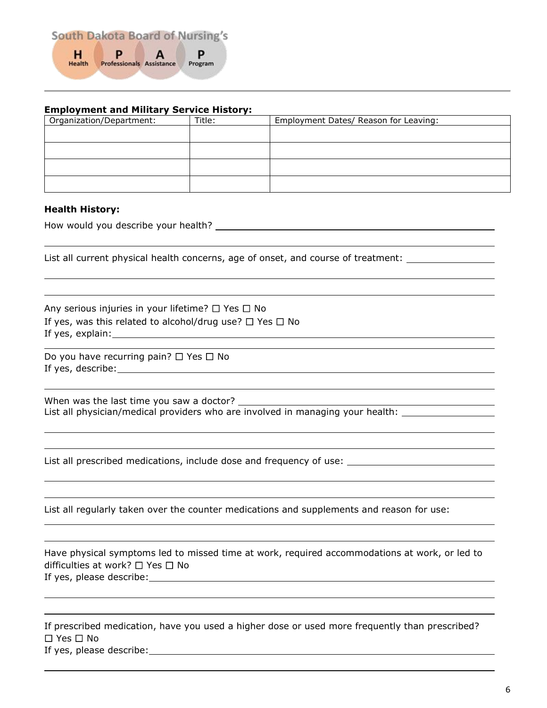

# **Employment and Military Service History:**

| Organization/Department: | Title: | Employment Dates/ Reason for Leaving: |
|--------------------------|--------|---------------------------------------|
|                          |        |                                       |
|                          |        |                                       |
|                          |        |                                       |
|                          |        |                                       |

# **Health History:**

How would you describe your health?

List all current physical health concerns, age of onset, and course of treatment: \_\_\_\_\_\_\_\_\_\_\_\_\_\_\_\_\_\_\_\_\_\_\_\_\_\_\_

Any serious injuries in your lifetime?  $\Box$  Yes  $\Box$  No If yes, was this related to alcohol/drug use?  $\Box$  Yes  $\Box$  No If yes, explain:

Do you have recurring pain?  $\Box$  Yes  $\Box$  No If yes, describe:

When was the last time you saw a doctor? List all physician/medical providers who are involved in managing your health:

List all prescribed medications, include dose and frequency of use:

List all regularly taken over the counter medications and supplements and reason for use:

| Have physical symptoms led to missed time at work, required accommodations at work, or led to |  |
|-----------------------------------------------------------------------------------------------|--|
| difficulties at work? $\Box$ Yes $\Box$ No                                                    |  |
| If yes, please describe:                                                                      |  |
|                                                                                               |  |

| If prescribed medication, have you used a higher dose or used more frequently than prescribed? |  |
|------------------------------------------------------------------------------------------------|--|
| $\square$ Yes $\square$ No                                                                     |  |
| If yes, please describe:                                                                       |  |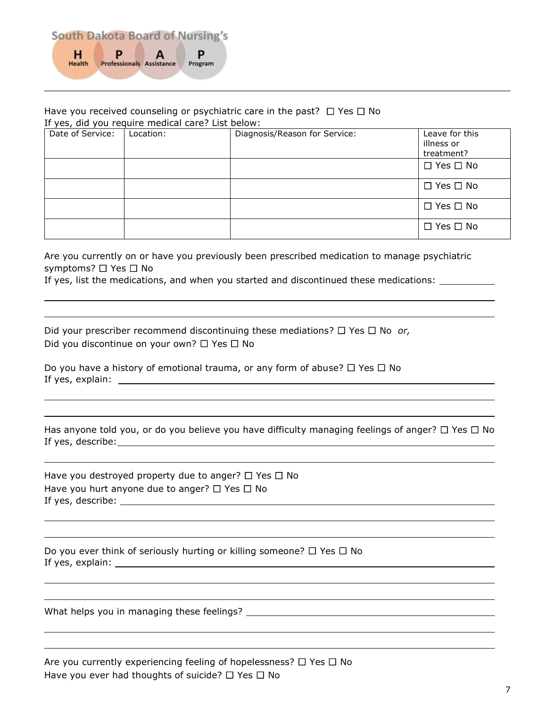

#### Have you received counseling or psychiatric care in the past?  $\Box$  Yes  $\Box$  No If yes, did you require medical care? List below:

| Date of Service: | Location: | Diagnosis/Reason for Service: | Leave for this<br>illness or<br>treatment? |
|------------------|-----------|-------------------------------|--------------------------------------------|
|                  |           |                               | $\Box$ Yes $\Box$ No                       |
|                  |           |                               | $\Box$ Yes $\Box$ No                       |
|                  |           |                               | $\Box$ Yes $\Box$ No                       |
|                  |           |                               | $\Box$ Yes $\Box$ No                       |

Are you currently on or have you previously been prescribed medication to manage psychiatric symptoms?  $\Box$  Yes  $\Box$  No

If yes, list the medications, and when you started and discontinued these medications:

Did your prescriber recommend discontinuing these mediations?  $\Box$  Yes  $\Box$  No *or*, Did you discontinue on your own?  $\Box$  Yes  $\Box$  No

Do you have a history of emotional trauma, or any form of abuse?  $\Box$  Yes  $\Box$  No If yes, explain:

|                   | Has anyone told you, or do you believe you have difficulty managing feelings of anger? $\Box$ Yes $\Box$ No |  |  |
|-------------------|-------------------------------------------------------------------------------------------------------------|--|--|
| If yes, describe: |                                                                                                             |  |  |

Have you destroyed property due to anger?  $\Box$  Yes  $\Box$  No Have you hurt anyone due to anger?  $\Box$  Yes  $\Box$  No If yes, describe:

Do you ever think of seriously hurting or killing someone?  $\Box$  Yes  $\Box$  No If yes, explain:

What helps you in managing these feelings?

Are you currently experiencing feeling of hopelessness?  $\Box$  Yes  $\Box$  No Have you ever had thoughts of suicide?  $\Box$  Yes  $\Box$  No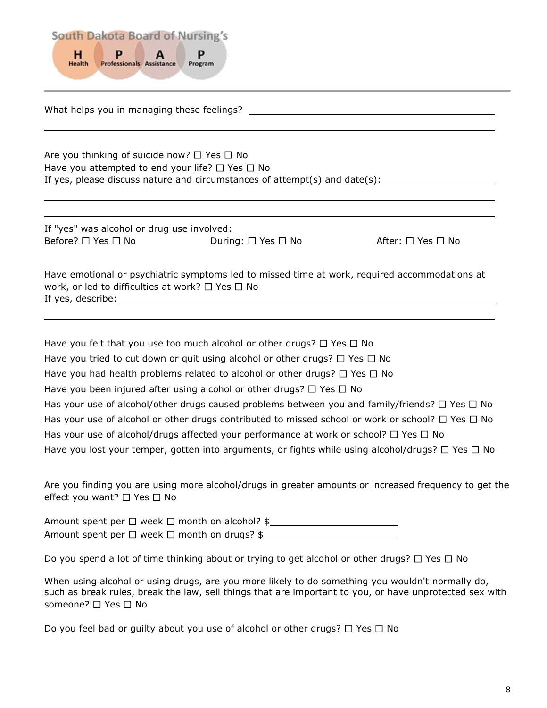

What helps you in managing these feelings?

Are you thinking of suicide now?  $\Box$  Yes  $\Box$  No Have you attempted to end your life?  $\Box$  Yes  $\Box$  No If yes, please discuss nature and circumstances of attempt(s) and date(s):

If "yes" was alcohol or drug use involved:  $\mathsf{Before?} \ \Box \ \mathsf{Yes} \ \Box \ \mathsf{No}$  During:  $\Box \ \mathsf{Yes} \ \Box \ \mathsf{No}$  After:  $\Box \ \mathsf{Yes} \ \Box \ \mathsf{No}$ 

| Have emotional or psychiatric symptoms led to missed time at work, required accommodations at |
|-----------------------------------------------------------------------------------------------|
| work, or led to difficulties at work? $\Box$ Yes $\Box$ No                                    |
| If yes, describe:                                                                             |

Have you felt that you use too much alcohol or other drugs?  $\Box$  Yes  $\Box$  No Have you tried to cut down or quit using alcohol or other drugs?  $\Box$  Yes  $\Box$  No Have you had health problems related to alcohol or other drugs?  $\Box$  Yes  $\Box$  No Have you been injured after using alcohol or other drugs?  $\Box$  Yes  $\Box$  No Has your use of alcohol/other drugs caused problems between you and family/friends?  $\Box$  Yes  $\Box$  No Has your use of alcohol or other drugs contributed to missed school or work or school?  $\Box$  Yes  $\Box$  No Has your use of alcohol/drugs affected your performance at work or school?  $\Box$  Yes  $\Box$  No Have you lost your temper, gotten into arguments, or fights while using alcohol/drugs?  $\Box$  Yes  $\Box$  No

Are you finding you are using more alcohol/drugs in greater amounts or increased frequency to get the effect you want?  $\Box$  Yes  $\Box$  No

Amount spent per  $\Box$  week  $\Box$  month on alcohol? \$ Amount spent per  $\Box$  week  $\Box$  month on drugs? \$

Do you spend a lot of time thinking about or trying to get alcohol or other drugs?  $\Box$  Yes  $\Box$  No

When using alcohol or using drugs, are you more likely to do something you wouldn't normally do, such as break rules, break the law, sell things that are important to you, or have unprotected sex with someone?  $\Box$  Yes  $\Box$  No

Do you feel bad or guilty about you use of alcohol or other drugs?  $\Box$  Yes  $\Box$  No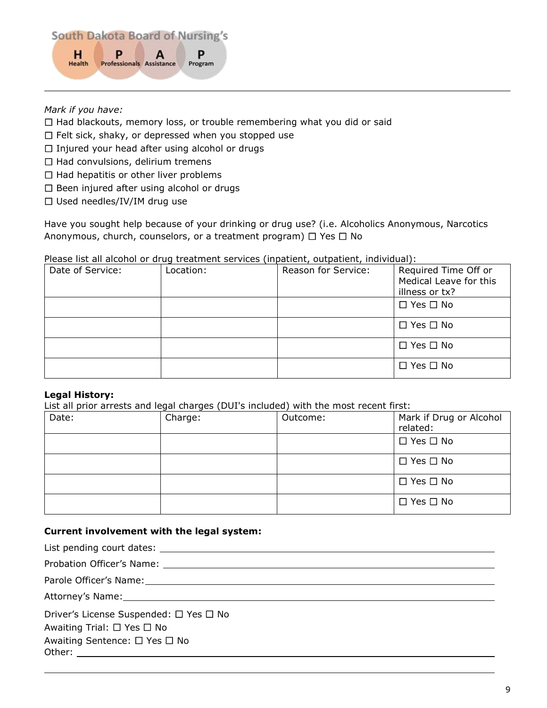

# *Mark if you have:*

- $\Box$  Had blackouts, memory loss, or trouble remembering what you did or said
- $\Box$  Felt sick, shaky, or depressed when you stopped use
- $\Box$  Injured your head after using alcohol or drugs
- $\Box$  Had convulsions, delirium tremens
- $\Box$  Had hepatitis or other liver problems
- $\Box$  Been injured after using alcohol or drugs
- $\square$  Used needles/IV/IM drug use

Have you sought help because of your drinking or drug use? (i.e. Alcoholics Anonymous, Narcotics Anonymous, church, counselors, or a treatment program)  $\Box$  Yes  $\Box$  No

Please list all alcohol or drug treatment services (inpatient, outpatient, individual):

| Date of Service: | Location: | Reason for Service: | Required Time Off or<br>Medical Leave for this<br>illness or tx? |
|------------------|-----------|---------------------|------------------------------------------------------------------|
|                  |           |                     | $\Box$ Yes $\Box$ No                                             |
|                  |           |                     | $\Box$ Yes $\Box$ No                                             |
|                  |           |                     | $\Box$ Yes $\Box$ No                                             |
|                  |           |                     | $\Box$ Yes $\Box$ No                                             |

# **Legal History:**

List all prior arrests and legal charges (DUI's included) with the most recent first:

| Date: | Charge: | Outcome: | Mark if Drug or Alcohol<br>related: |
|-------|---------|----------|-------------------------------------|
|       |         |          | $\Box$ Yes $\Box$ No                |
|       |         |          | $\Box$ Yes $\Box$ No                |
|       |         |          | $\Box$ Yes $\Box$ No                |
|       |         |          | $\Box$ Yes $\Box$ No                |

# **Current involvement with the legal system:**

| Driver's License Suspended: □ Yes □ No |
|----------------------------------------|
| Awaiting Trial: $\Box$ Yes $\Box$ No   |
| Awaiting Sentence: □ Yes □ No          |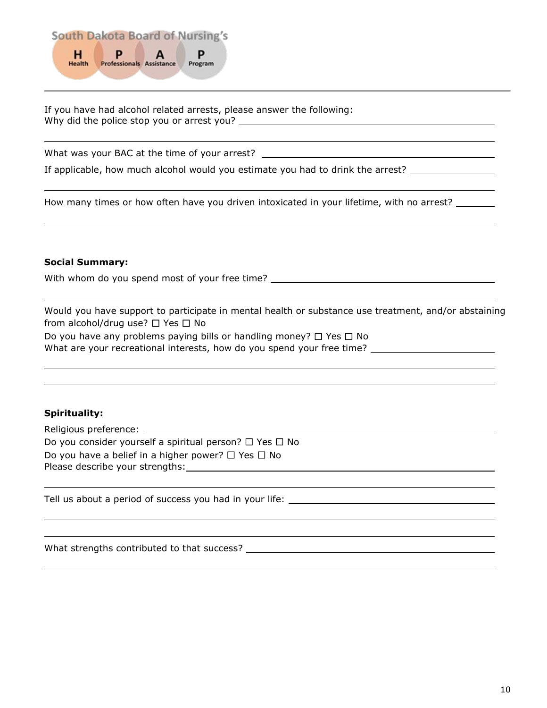

If you have had alcohol related arrests, please answer the following: Why did the police stop you or arrest you?

What was your BAC at the time of your arrest? \_\_\_\_\_\_\_\_\_\_\_\_\_\_\_\_\_\_\_\_\_\_\_\_\_\_\_\_\_\_\_\_\_\_

If applicable, how much alcohol would you estimate you had to drink the arrest?

How many times or how often have you driven intoxicated in your lifetime, with no arrest? \_\_\_\_\_\_\_

# **Social Summary:**

With whom do you spend most of your free time? \_\_\_\_\_\_\_\_\_\_\_\_\_\_\_\_\_\_\_\_\_\_\_\_\_\_\_\_\_\_\_\_\_

Would you have support to participate in mental health or substance use treatment, and/or abstaining from alcohol/drug use?  $\Box$  Yes  $\Box$  No

Do you have any problems paying bills or handling money?  $\Box$  Yes  $\Box$  No What are your recreational interests, how do you spend your free time?

# **Spirituality:**

| Religious preference:                                             |  |
|-------------------------------------------------------------------|--|
| Do you consider yourself a spiritual person? $\Box$ Yes $\Box$ No |  |
| Do you have a belief in a higher power? $\Box$ Yes $\Box$ No      |  |
| Please describe your strengths:                                   |  |
|                                                                   |  |

Tell us about a period of success you had in your life:

What strengths contributed to that success?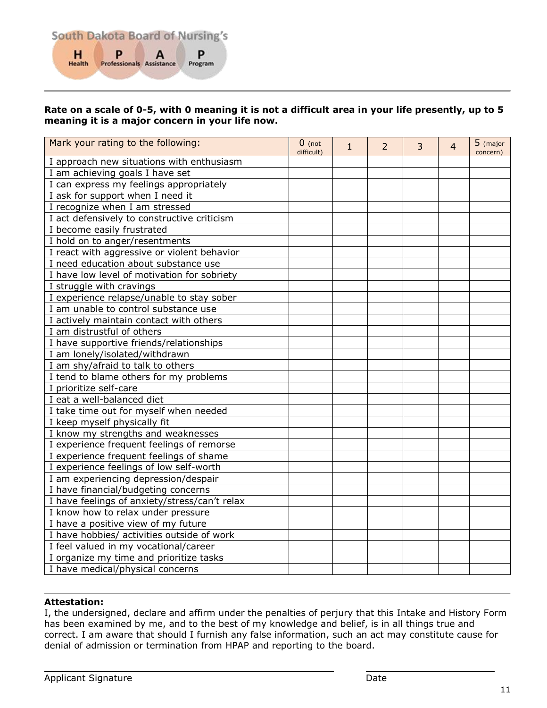# **Rate on a scale of 0-5, with 0 meaning it is not a difficult area in your life presently, up to 5 meaning it is a major concern in your life now.**

| Mark your rating to the following:            | $0$ (not<br>difficult) | $\mathbf{1}$ | $\overline{2}$ | $\overline{3}$ | 4 | 5 (major<br>concern) |
|-----------------------------------------------|------------------------|--------------|----------------|----------------|---|----------------------|
| I approach new situations with enthusiasm     |                        |              |                |                |   |                      |
| I am achieving goals I have set               |                        |              |                |                |   |                      |
| I can express my feelings appropriately       |                        |              |                |                |   |                      |
| I ask for support when I need it              |                        |              |                |                |   |                      |
| I recognize when I am stressed                |                        |              |                |                |   |                      |
| I act defensively to constructive criticism   |                        |              |                |                |   |                      |
| I become easily frustrated                    |                        |              |                |                |   |                      |
| I hold on to anger/resentments                |                        |              |                |                |   |                      |
| I react with aggressive or violent behavior   |                        |              |                |                |   |                      |
| I need education about substance use          |                        |              |                |                |   |                      |
| I have low level of motivation for sobriety   |                        |              |                |                |   |                      |
| I struggle with cravings                      |                        |              |                |                |   |                      |
| I experience relapse/unable to stay sober     |                        |              |                |                |   |                      |
| I am unable to control substance use          |                        |              |                |                |   |                      |
| I actively maintain contact with others       |                        |              |                |                |   |                      |
| I am distrustful of others                    |                        |              |                |                |   |                      |
| I have supportive friends/relationships       |                        |              |                |                |   |                      |
| I am lonely/isolated/withdrawn                |                        |              |                |                |   |                      |
| I am shy/afraid to talk to others             |                        |              |                |                |   |                      |
| I tend to blame others for my problems        |                        |              |                |                |   |                      |
| I prioritize self-care                        |                        |              |                |                |   |                      |
| I eat a well-balanced diet                    |                        |              |                |                |   |                      |
| I take time out for myself when needed        |                        |              |                |                |   |                      |
| I keep myself physically fit                  |                        |              |                |                |   |                      |
| I know my strengths and weaknesses            |                        |              |                |                |   |                      |
| I experience frequent feelings of remorse     |                        |              |                |                |   |                      |
| I experience frequent feelings of shame       |                        |              |                |                |   |                      |
| I experience feelings of low self-worth       |                        |              |                |                |   |                      |
| I am experiencing depression/despair          |                        |              |                |                |   |                      |
| I have financial/budgeting concerns           |                        |              |                |                |   |                      |
| I have feelings of anxiety/stress/can't relax |                        |              |                |                |   |                      |
| I know how to relax under pressure            |                        |              |                |                |   |                      |
| I have a positive view of my future           |                        |              |                |                |   |                      |
| I have hobbies/ activities outside of work    |                        |              |                |                |   |                      |
| I feel valued in my vocational/career         |                        |              |                |                |   |                      |
| I organize my time and prioritize tasks       |                        |              |                |                |   |                      |
| I have medical/physical concerns              |                        |              |                |                |   |                      |

# **Attestation:**

I, the undersigned, declare and affirm under the penalties of perjury that this Intake and History Form has been examined by me, and to the best of my knowledge and belief, is in all things true and correct. I am aware that should I furnish any false information, such an act may constitute cause for denial of admission or termination from HPAP and reporting to the board.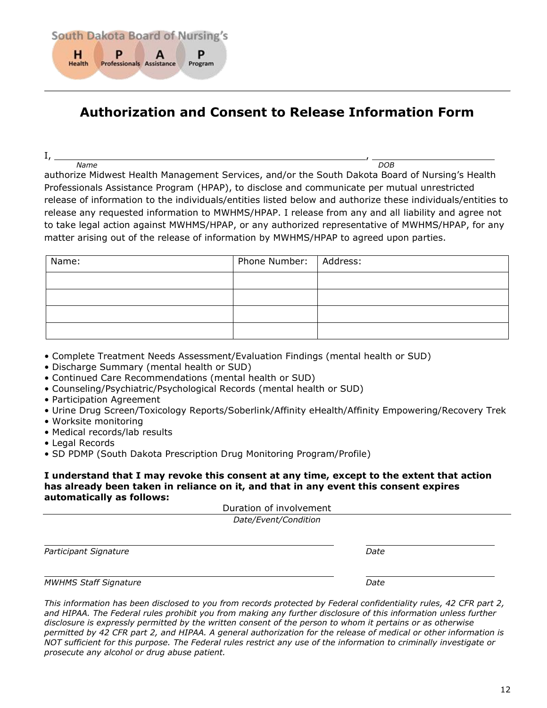

# <span id="page-11-0"></span>**Authorization and Consent to Release Information Form**

I, ,

*Name DOB* authorize Midwest Health Management Services, and/or the South Dakota Board of Nursing's Health Professionals Assistance Program (HPAP), to disclose and communicate per mutual unrestricted release of information to the individuals/entities listed below and authorize these individuals/entities to release any requested information to MWHMS/HPAP. I release from any and all liability and agree not to take legal action against MWHMS/HPAP, or any authorized representative of MWHMS/HPAP, for any matter arising out of the release of information by MWHMS/HPAP to agreed upon parties.

| Name: | Phone Number:   Address: |  |
|-------|--------------------------|--|
|       |                          |  |
|       |                          |  |
|       |                          |  |
|       |                          |  |

- Complete Treatment Needs Assessment/Evaluation Findings (mental health or SUD)
- Discharge Summary (mental health or SUD)
- Continued Care Recommendations (mental health or SUD)
- Counseling/Psychiatric/Psychological Records (mental health or SUD)
- Participation Agreement
- Urine Drug Screen/Toxicology Reports/Soberlink/Affinity eHealth/Affinity Empowering/Recovery Trek
- Worksite monitoring
- Medical records/lab results
- Legal Records
- SD PDMP (South Dakota Prescription Drug Monitoring Program/Profile)

# **I understand that I may revoke this consent at any time, except to the extent that action has already been taken in reliance on it, and that in any event this consent expires automatically as follows:**

Duration of involvement

| Date/Event/Condition         |      |  |  |  |  |
|------------------------------|------|--|--|--|--|
| Participant Signature        | Date |  |  |  |  |
| <b>MWHMS Staff Signature</b> | Date |  |  |  |  |

*This information has been disclosed to you from records protected by Federal confidentiality rules, 42 CFR part 2, and HIPAA. The Federal rules prohibit you from making any further disclosure of this information unless further disclosure is expressly permitted by the written consent of the person to whom it pertains or as otherwise permitted by 42 CFR part 2, and HIPAA. A general authorization for the release of medical or other information is NOT sufficient for this purpose. The Federal rules restrict any use of the information to criminally investigate or prosecute any alcohol or drug abuse patient.*